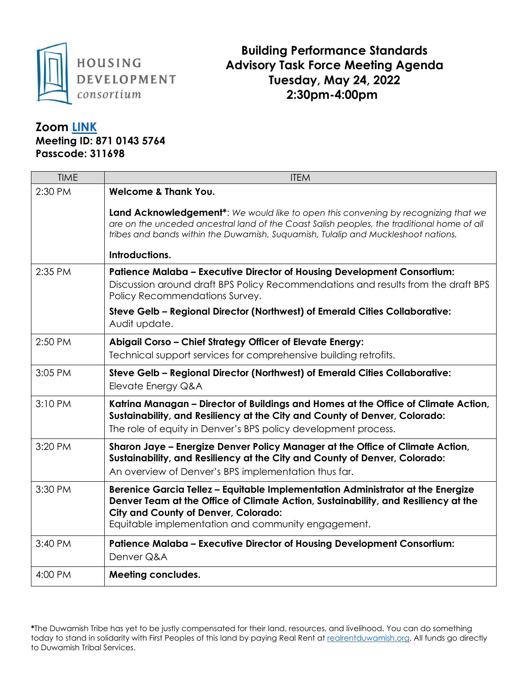

## **Building Performance Standards Advisory Task Force Meeting Agenda Tuesday, May 24, 2022 2:30pm-4:00pm**

## **Zoom [LINK](https://us02web.zoom.us/j/87101435764?pwd=dU80aGY5dVhpU2xlYTZTc2g4OTkrZz09)**

**Meeting ID: 871 0143 5764 Passcode: 311698**

| <b>TIME</b> | <b>ITEM</b>                                                                                                                                                                                                                                                                             |
|-------------|-----------------------------------------------------------------------------------------------------------------------------------------------------------------------------------------------------------------------------------------------------------------------------------------|
| 2:30 PM     | <b>Welcome &amp; Thank You.</b>                                                                                                                                                                                                                                                         |
|             | <b>Land Acknowledgement<sup>*</sup>:</b> We would like to open this convening by recognizing that we<br>are on the unceded ancestral land of the Coast Salish peoples, the traditional home of all<br>tribes and bands within the Duwamish, Suquamish, Tulalip and Muckleshoot nations. |
|             | Introductions.                                                                                                                                                                                                                                                                          |
| 2:35 PM     | <b>Patience Malaba - Executive Director of Housing Development Consortium:</b><br>Discussion around draft BPS Policy Recommendations and results from the draft BPS<br>Policy Recommendations Survey.                                                                                   |
|             | Steve Gelb - Regional Director (Northwest) of Emerald Cities Collaborative:<br>Audit update.                                                                                                                                                                                            |
| 2:50 PM     | Abigail Corso - Chief Strategy Officer of Elevate Energy:<br>Technical support services for comprehensive building retrofits.                                                                                                                                                           |
| 3:05 PM     | Steve Gelb - Regional Director (Northwest) of Emerald Cities Collaborative:<br>Elevate Energy Q&A                                                                                                                                                                                       |
| 3:10 PM     | Katrina Managan - Director of Buildings and Homes at the Office of Climate Action,<br>Sustainability, and Resiliency at the City and County of Denver, Colorado:<br>The role of equity in Denver's BPS policy development process.                                                      |
| 3:20 PM     | Sharon Jaye - Energize Denver Policy Manager at the Office of Climate Action,<br>Sustainability, and Resiliency at the City and County of Denver, Colorado:<br>An overview of Denver's BPS implementation thus far.                                                                     |
| 3:30 PM     | Berenice Garcia Tellez - Equitable Implementation Administrator at the Energize<br>Denver Team at the Office of Climate Action, Sustainability, and Resiliency at the<br><b>City and County of Denver, Colorado:</b><br>Equitable implementation and community engagement.              |
| 3:40 PM     | <b>Patience Malaba - Executive Director of Housing Development Consortium:</b><br>Denver Q&A                                                                                                                                                                                            |
| 4:00 PM     | <b>Meeting concludes.</b>                                                                                                                                                                                                                                                               |

**\***The Duwamish Tribe has yet to be justly compensated for their land, resources, and livelihood. You can do something today to stand in solidarity with First Peoples of this land by paying Real Rent a[t realrentduwamish.org.](https://www.realrentduwamish.org/) All funds go directly to Duwamish Tribal Services.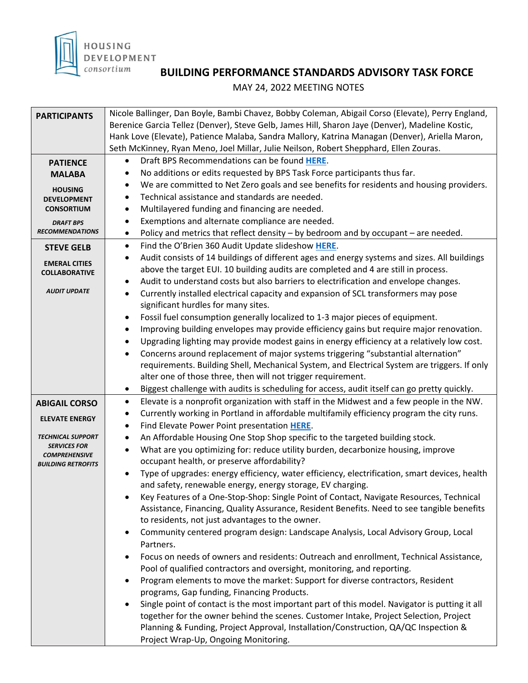

## **BUILDING PERFORMANCE STANDARDS ADVISORY TASK FORCE**

MAY 24, 2022 MEETING NOTES

| <b>PARTICIPANTS</b>                                                        | Nicole Ballinger, Dan Boyle, Bambi Chavez, Bobby Coleman, Abigail Corso (Elevate), Perry England,                                     |
|----------------------------------------------------------------------------|---------------------------------------------------------------------------------------------------------------------------------------|
|                                                                            | Berenice Garcia Tellez (Denver), Steve Gelb, James Hill, Sharon Jaye (Denver), Madeline Kostic,                                       |
|                                                                            | Hank Love (Elevate), Patience Malaba, Sandra Mallory, Katrina Managan (Denver), Ariella Maron,                                        |
|                                                                            | Seth McKinney, Ryan Meno, Joel Millar, Julie Neilson, Robert Shepphard, Ellen Zouras.<br>Draft BPS Recommendations can be found HERE. |
| <b>PATIENCE</b>                                                            | ٠<br>No additions or edits requested by BPS Task Force participants thus far.<br>$\bullet$                                            |
| <b>MALABA</b><br><b>HOUSING</b><br><b>DEVELOPMENT</b><br><b>CONSORTIUM</b> | We are committed to Net Zero goals and see benefits for residents and housing providers.<br>$\bullet$                                 |
|                                                                            | Technical assistance and standards are needed.<br>$\bullet$                                                                           |
|                                                                            | Multilayered funding and financing are needed.<br>$\bullet$                                                                           |
|                                                                            | Exemptions and alternate compliance are needed.<br>٠                                                                                  |
| <b>DRAFT BPS</b><br><b>RECOMMENDATIONS</b>                                 | Policy and metrics that reflect density - by bedroom and by occupant - are needed.<br>$\bullet$                                       |
|                                                                            | Find the O'Brien 360 Audit Update slideshow HERE.<br>$\bullet$                                                                        |
| <b>STEVE GELB</b>                                                          | Audit consists of 14 buildings of different ages and energy systems and sizes. All buildings<br>$\bullet$                             |
| <b>EMERAL CITIES</b>                                                       | above the target EUI. 10 building audits are completed and 4 are still in process.                                                    |
| <b>COLLABORATIVE</b>                                                       | Audit to understand costs but also barriers to electrification and envelope changes.<br>$\bullet$                                     |
| <b>AUDIT UPDATE</b>                                                        | Currently installed electrical capacity and expansion of SCL transformers may pose<br>$\bullet$                                       |
|                                                                            | significant hurdles for many sites.                                                                                                   |
|                                                                            | Fossil fuel consumption generally localized to 1-3 major pieces of equipment.<br>$\bullet$                                            |
|                                                                            | Improving building envelopes may provide efficiency gains but require major renovation.<br>$\bullet$                                  |
|                                                                            | Upgrading lighting may provide modest gains in energy efficiency at a relatively low cost.<br>$\bullet$                               |
|                                                                            | Concerns around replacement of major systems triggering "substantial alternation"<br>$\bullet$                                        |
|                                                                            | requirements. Building Shell, Mechanical System, and Electrical System are triggers. If only                                          |
|                                                                            | alter one of those three, then will not trigger requirement.                                                                          |
|                                                                            | Biggest challenge with audits is scheduling for access, audit itself can go pretty quickly.<br>$\bullet$                              |
| <b>ABIGAIL CORSO</b>                                                       | Elevate is a nonprofit organization with staff in the Midwest and a few people in the NW.<br>$\bullet$                                |
| <b>ELEVATE ENERGY</b>                                                      | Currently working in Portland in affordable multifamily efficiency program the city runs.<br>$\bullet$                                |
|                                                                            | Find Elevate Power Point presentation HERE.<br>$\bullet$                                                                              |
| <b>TECHNICAL SUPPORT</b>                                                   | An Affordable Housing One Stop Shop specific to the targeted building stock.<br>$\bullet$                                             |
| <b>SERVICES FOR</b><br><b>COMPREHENSIVE</b>                                | What are you optimizing for: reduce utility burden, decarbonize housing, improve<br>$\bullet$                                         |
| <b>BUILDING RETROFITS</b>                                                  | occupant health, or preserve affordability?                                                                                           |
|                                                                            | Type of upgrades: energy efficiency, water efficiency, electrification, smart devices, health<br>$\bullet$                            |
|                                                                            | and safety, renewable energy, energy storage, EV charging.                                                                            |
|                                                                            | Key Features of a One-Stop-Shop: Single Point of Contact, Navigate Resources, Technical                                               |
|                                                                            | Assistance, Financing, Quality Assurance, Resident Benefits. Need to see tangible benefits                                            |
|                                                                            | to residents, not just advantages to the owner.                                                                                       |
|                                                                            | Community centered program design: Landscape Analysis, Local Advisory Group, Local<br>$\bullet$<br>Partners.                          |
|                                                                            | Focus on needs of owners and residents: Outreach and enrollment, Technical Assistance,<br>$\bullet$                                   |
|                                                                            | Pool of qualified contractors and oversight, monitoring, and reporting.                                                               |
|                                                                            | Program elements to move the market: Support for diverse contractors, Resident<br>$\bullet$                                           |
|                                                                            | programs, Gap funding, Financing Products.                                                                                            |
|                                                                            | Single point of contact is the most important part of this model. Navigator is putting it all                                         |
|                                                                            | together for the owner behind the scenes. Customer Intake, Project Selection, Project                                                 |
|                                                                            | Planning & Funding, Project Approval, Installation/Construction, QA/QC Inspection &                                                   |
|                                                                            | Project Wrap-Up, Ongoing Monitoring.                                                                                                  |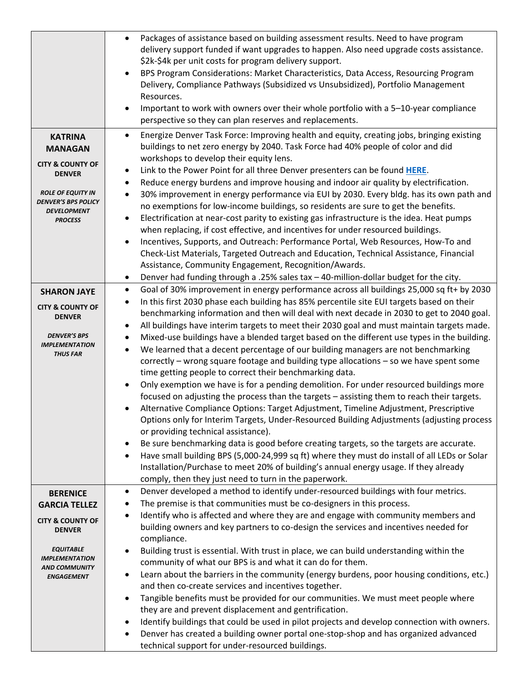|                                                  | Packages of assistance based on building assessment results. Need to have program<br>$\bullet$<br>delivery support funded if want upgrades to happen. Also need upgrade costs assistance.<br>\$2k-\$4k per unit costs for program delivery support.<br>BPS Program Considerations: Market Characteristics, Data Access, Resourcing Program<br>$\bullet$<br>Delivery, Compliance Pathways (Subsidized vs Unsubsidized), Portfolio Management<br>Resources.<br>Important to work with owners over their whole portfolio with a 5-10-year compliance<br>$\bullet$<br>perspective so they can plan reserves and replacements. |
|--------------------------------------------------|---------------------------------------------------------------------------------------------------------------------------------------------------------------------------------------------------------------------------------------------------------------------------------------------------------------------------------------------------------------------------------------------------------------------------------------------------------------------------------------------------------------------------------------------------------------------------------------------------------------------------|
| <b>KATRINA</b>                                   | Energize Denver Task Force: Improving health and equity, creating jobs, bringing existing<br>$\bullet$                                                                                                                                                                                                                                                                                                                                                                                                                                                                                                                    |
| <b>MANAGAN</b>                                   | buildings to net zero energy by 2040. Task Force had 40% people of color and did                                                                                                                                                                                                                                                                                                                                                                                                                                                                                                                                          |
| <b>CITY &amp; COUNTY OF</b>                      | workshops to develop their equity lens.                                                                                                                                                                                                                                                                                                                                                                                                                                                                                                                                                                                   |
| <b>DENVER</b>                                    | Link to the Power Point for all three Denver presenters can be found HERE.<br>$\bullet$<br>Reduce energy burdens and improve housing and indoor air quality by electrification.<br>$\bullet$                                                                                                                                                                                                                                                                                                                                                                                                                              |
| <b>ROLE OF EQUITY IN</b>                         | 30% improvement in energy performance via EUI by 2030. Every bldg. has its own path and<br>$\bullet$                                                                                                                                                                                                                                                                                                                                                                                                                                                                                                                      |
| <b>DENVER'S BPS POLICY</b><br><b>DEVELOPMENT</b> | no exemptions for low-income buildings, so residents are sure to get the benefits.                                                                                                                                                                                                                                                                                                                                                                                                                                                                                                                                        |
| <b>PROCESS</b>                                   | Electrification at near-cost parity to existing gas infrastructure is the idea. Heat pumps<br>$\bullet$<br>when replacing, if cost effective, and incentives for under resourced buildings.                                                                                                                                                                                                                                                                                                                                                                                                                               |
|                                                  | Incentives, Supports, and Outreach: Performance Portal, Web Resources, How-To and<br>$\bullet$                                                                                                                                                                                                                                                                                                                                                                                                                                                                                                                            |
|                                                  | Check-List Materials, Targeted Outreach and Education, Technical Assistance, Financial                                                                                                                                                                                                                                                                                                                                                                                                                                                                                                                                    |
|                                                  | Assistance, Community Engagement, Recognition/Awards.                                                                                                                                                                                                                                                                                                                                                                                                                                                                                                                                                                     |
|                                                  | Denver had funding through a .25% sales $tax - 40$ -million-dollar budget for the city.<br>$\bullet$<br>Goal of 30% improvement in energy performance across all buildings 25,000 sq ft+ by 2030<br>$\bullet$                                                                                                                                                                                                                                                                                                                                                                                                             |
| <b>SHARON JAYE</b>                               | In this first 2030 phase each building has 85% percentile site EUI targets based on their<br>$\bullet$                                                                                                                                                                                                                                                                                                                                                                                                                                                                                                                    |
| <b>CITY &amp; COUNTY OF</b><br><b>DENVER</b>     | benchmarking information and then will deal with next decade in 2030 to get to 2040 goal.                                                                                                                                                                                                                                                                                                                                                                                                                                                                                                                                 |
|                                                  | All buildings have interim targets to meet their 2030 goal and must maintain targets made.<br>$\bullet$                                                                                                                                                                                                                                                                                                                                                                                                                                                                                                                   |
| <b>DENVER'S BPS</b><br><b>IMPLEMENTATION</b>     | Mixed-use buildings have a blended target based on the different use types in the building.<br>$\bullet$                                                                                                                                                                                                                                                                                                                                                                                                                                                                                                                  |
| <b>THUS FAR</b>                                  | We learned that a decent percentage of our building managers are not benchmarking<br>$\bullet$                                                                                                                                                                                                                                                                                                                                                                                                                                                                                                                            |
|                                                  | correctly - wrong square footage and building type allocations - so we have spent some                                                                                                                                                                                                                                                                                                                                                                                                                                                                                                                                    |
|                                                  | time getting people to correct their benchmarking data.<br>Only exemption we have is for a pending demolition. For under resourced buildings more<br>$\bullet$                                                                                                                                                                                                                                                                                                                                                                                                                                                            |
|                                                  | focused on adjusting the process than the targets - assisting them to reach their targets.                                                                                                                                                                                                                                                                                                                                                                                                                                                                                                                                |
|                                                  | Alternative Compliance Options: Target Adjustment, Timeline Adjustment, Prescriptive                                                                                                                                                                                                                                                                                                                                                                                                                                                                                                                                      |
|                                                  | Options only for Interim Targets, Under-Resourced Building Adjustments (adjusting process                                                                                                                                                                                                                                                                                                                                                                                                                                                                                                                                 |
|                                                  | or providing technical assistance).                                                                                                                                                                                                                                                                                                                                                                                                                                                                                                                                                                                       |
|                                                  | Be sure benchmarking data is good before creating targets, so the targets are accurate.<br>$\bullet$                                                                                                                                                                                                                                                                                                                                                                                                                                                                                                                      |
|                                                  | Have small building BPS (5,000-24,999 sq ft) where they must do install of all LEDs or Solar<br>$\bullet$                                                                                                                                                                                                                                                                                                                                                                                                                                                                                                                 |
|                                                  | Installation/Purchase to meet 20% of building's annual energy usage. If they already<br>comply, then they just need to turn in the paperwork.                                                                                                                                                                                                                                                                                                                                                                                                                                                                             |
| <b>BERENICE</b>                                  | Denver developed a method to identify under-resourced buildings with four metrics.<br>$\bullet$                                                                                                                                                                                                                                                                                                                                                                                                                                                                                                                           |
| <b>GARCIA TELLEZ</b>                             | The premise is that communities must be co-designers in this process.<br>$\bullet$                                                                                                                                                                                                                                                                                                                                                                                                                                                                                                                                        |
| <b>CITY &amp; COUNTY OF</b>                      | Identify who is affected and where they are and engage with community members and<br>$\bullet$                                                                                                                                                                                                                                                                                                                                                                                                                                                                                                                            |
| <b>DENVER</b>                                    | building owners and key partners to co-design the services and incentives needed for<br>compliance.                                                                                                                                                                                                                                                                                                                                                                                                                                                                                                                       |
| <b>EQUITABLE</b>                                 | Building trust is essential. With trust in place, we can build understanding within the<br>$\bullet$                                                                                                                                                                                                                                                                                                                                                                                                                                                                                                                      |
| <b>IMPLEMENTATION</b><br><b>AND COMMUNITY</b>    | community of what our BPS is and what it can do for them.                                                                                                                                                                                                                                                                                                                                                                                                                                                                                                                                                                 |
| <b>ENGAGEMENT</b>                                | Learn about the barriers in the community (energy burdens, poor housing conditions, etc.)<br>$\bullet$                                                                                                                                                                                                                                                                                                                                                                                                                                                                                                                    |
|                                                  | and then co-create services and incentives together.<br>Tangible benefits must be provided for our communities. We must meet people where<br>$\bullet$                                                                                                                                                                                                                                                                                                                                                                                                                                                                    |
|                                                  | they are and prevent displacement and gentrification.                                                                                                                                                                                                                                                                                                                                                                                                                                                                                                                                                                     |
|                                                  | Identify buildings that could be used in pilot projects and develop connection with owners.<br>$\bullet$                                                                                                                                                                                                                                                                                                                                                                                                                                                                                                                  |
|                                                  | Denver has created a building owner portal one-stop-shop and has organized advanced<br>$\bullet$                                                                                                                                                                                                                                                                                                                                                                                                                                                                                                                          |
|                                                  | technical support for under-resourced buildings.                                                                                                                                                                                                                                                                                                                                                                                                                                                                                                                                                                          |